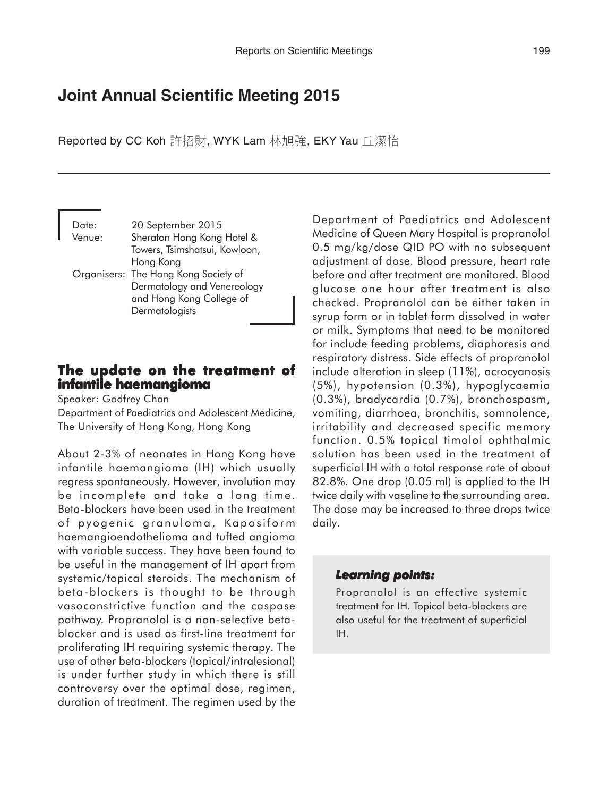# **Joint Annual Scientific Meeting 2015**

Reported by CC Koh 許招財, WYK Lam 林旭強, EKY Yau 丘潔怡

Date: 20 September 2015 Venue: Sheraton Hong Kong Hotel & Towers, Tsimshatsui, Kowloon, Hong Kong Organisers: The Hong Kong Society of Dermatology and Venereology and Hong Kong College of **Dermatologists** 

#### **The update on the treatment of The update the treatment infantile haemangioma**

Speaker: Godfrey Chan

Department of Paediatrics and Adolescent Medicine, The University of Hong Kong, Hong Kong

About 2-3% of neonates in Hong Kong have infantile haemangioma (IH) which usually regress spontaneously. However, involution may be incomplete and take a long time. Beta-blockers have been used in the treatment of pyogenic granuloma, Kaposiform haemangioendothelioma and tufted angioma with variable success. They have been found to be useful in the management of IH apart from systemic/topical steroids. The mechanism of beta-blockers is thought to be through vasoconstrictive function and the caspase pathway. Propranolol is a non-selective betablocker and is used as first-line treatment for proliferating IH requiring systemic therapy. The use of other beta-blockers (topical/intralesional) is under further study in which there is still controversy over the optimal dose, regimen, duration of treatment. The regimen used by the

Department of Paediatrics and Adolescent Medicine of Queen Mary Hospital is propranolol 0.5 mg/kg/dose QID PO with no subsequent adjustment of dose. Blood pressure, heart rate before and after treatment are monitored. Blood glucose one hour after treatment is also checked. Propranolol can be either taken in syrup form or in tablet form dissolved in water or milk. Symptoms that need to be monitored for include feeding problems, diaphoresis and respiratory distress. Side effects of propranolol include alteration in sleep (11%), acrocyanosis (5%), hypotension (0.3%), hypoglycaemia (0.3%), bradycardia (0.7%), bronchospasm, vomiting, diarrhoea, bronchitis, somnolence, irritability and decreased specific memory function. 0.5% topical timolol ophthalmic solution has been used in the treatment of superficial IH with a total response rate of about 82.8%. One drop (0.05 ml) is applied to the IH twice daily with vaseline to the surrounding area. The dose may be increased to three drops twice daily.

#### *Learning points: Learning points:*

Propranolol is an effective systemic treatment for IH. Topical beta-blockers are also useful for the treatment of superficial IH.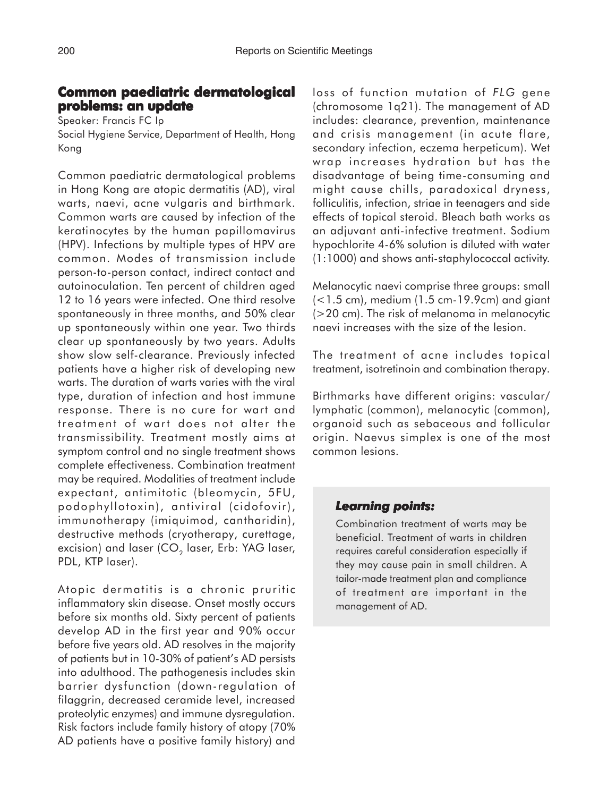### **Common paediatric dermatological paediatric problems: an update**

Speaker: Francis FC Ip Social Hygiene Service, Department of Health, Hong Kong

Common paediatric dermatological problems in Hong Kong are atopic dermatitis (AD), viral warts, naevi, acne vulgaris and birthmark. Common warts are caused by infection of the keratinocytes by the human papillomavirus (HPV). Infections by multiple types of HPV are common. Modes of transmission include person-to-person contact, indirect contact and autoinoculation. Ten percent of children aged 12 to 16 years were infected. One third resolve spontaneously in three months, and 50% clear up spontaneously within one year. Two thirds clear up spontaneously by two years. Adults show slow self-clearance. Previously infected patients have a higher risk of developing new warts. The duration of warts varies with the viral type, duration of infection and host immune response. There is no cure for wart and treatment of wart does not alter the transmissibility. Treatment mostly aims at symptom control and no single treatment shows complete effectiveness. Combination treatment may be required. Modalities of treatment include expectant, antimitotic (bleomycin, 5FU, podophyllotoxin), antiviral (cidofovir), immunotherapy (imiquimod, cantharidin), destructive methods (cryotherapy, curettage, excision) and laser  $(CO<sub>2</sub>)$  laser, Erb: YAG laser, PDL, KTP laser).

Atopic dermatitis is a chronic pruritic inflammatory skin disease. Onset mostly occurs before six months old. Sixty percent of patients develop AD in the first year and 90% occur before five years old. AD resolves in the majority of patients but in 10-30% of patient's AD persists into adulthood. The pathogenesis includes skin barrier dysfunction (down-regulation of filaggrin, decreased ceramide level, increased proteolytic enzymes) and immune dysregulation. Risk factors include family history of atopy (70% AD patients have a positive family history) and

loss of function mutation of *FLG* gene (chromosome 1q21). The management of AD includes: clearance, prevention, maintenance and crisis management (in acute flare, secondary infection, eczema herpeticum). Wet wrap increases hydration but has the disadvantage of being time-consuming and might cause chills, paradoxical dryness, folliculitis, infection, striae in teenagers and side effects of topical steroid. Bleach bath works as an adjuvant anti-infective treatment. Sodium hypochlorite 4-6% solution is diluted with water (1:1000) and shows anti-staphylococcal activity.

Melanocytic naevi comprise three groups: small (<1.5 cm), medium (1.5 cm-19.9cm) and giant (>20 cm). The risk of melanoma in melanocytic naevi increases with the size of the lesion.

The treatment of acne includes topical treatment, isotretinoin and combination therapy.

Birthmarks have different origins: vascular/ lymphatic (common), melanocytic (common), organoid such as sebaceous and follicular origin. Naevus simplex is one of the most common lesions.

#### *Learning points: Learning points:*

Combination treatment of warts may be beneficial. Treatment of warts in children requires careful consideration especially if they may cause pain in small children. A tailor-made treatment plan and compliance of treatment are important in the management of AD.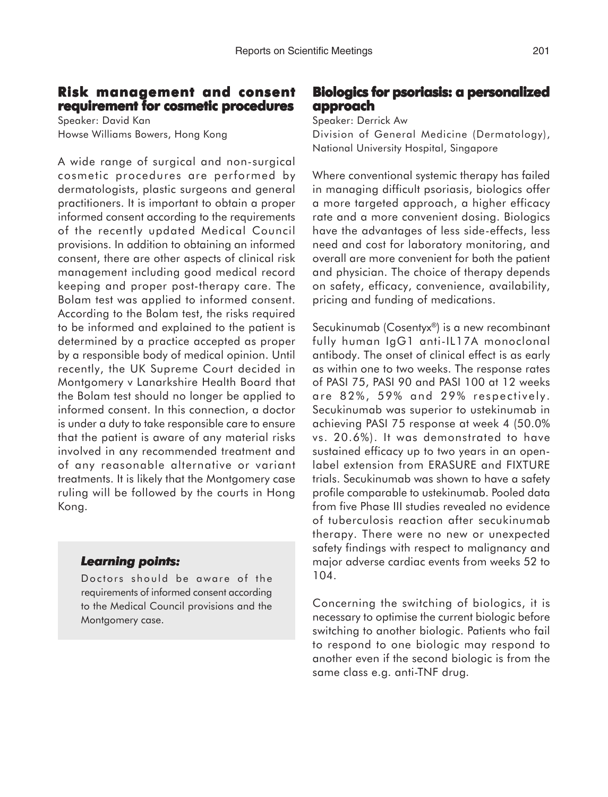## **Risk management and consent Risk management and requirement for cosmetic procedures**

Speaker: David Kan Howse Williams Bowers, Hong Kong

A wide range of surgical and non-surgical cosmetic procedures are performed by dermatologists, plastic surgeons and general practitioners. It is important to obtain a proper informed consent according to the requirements of the recently updated Medical Council provisions. In addition to obtaining an informed consent, there are other aspects of clinical risk management including good medical record keeping and proper post-therapy care. The Bolam test was applied to informed consent. According to the Bolam test, the risks required to be informed and explained to the patient is determined by a practice accepted as proper by a responsible body of medical opinion. Until recently, the UK Supreme Court decided in Montgomery v Lanarkshire Health Board that the Bolam test should no longer be applied to informed consent. In this connection, a doctor is under a duty to take responsible care to ensure that the patient is aware of any material risks involved in any recommended treatment and of any reasonable alternative or variant treatments. It is likely that the Montgomery case ruling will be followed by the courts in Hong Kong.

## *Learning points: Learning*

Doctors should be aware of the requirements of informed consent according to the Medical Council provisions and the Montgomery case.

## **Biologics for psoriasis: a personalized approach**

Speaker: Derrick Aw

Division of General Medicine (Dermatology), National University Hospital, Singapore

Where conventional systemic therapy has failed in managing difficult psoriasis, biologics offer a more targeted approach, a higher efficacy rate and a more convenient dosing. Biologics have the advantages of less side-effects, less need and cost for laboratory monitoring, and overall are more convenient for both the patient and physician. The choice of therapy depends on safety, efficacy, convenience, availability, pricing and funding of medications.

Secukinumab (Cosentyx®) is a new recombinant fully human IgG1 anti-IL17A monoclonal antibody. The onset of clinical effect is as early as within one to two weeks. The response rates of PASI 75, PASI 90 and PASI 100 at 12 weeks are 82%, 59% and 29% respectively. Secukinumab was superior to ustekinumab in achieving PASI 75 response at week 4 (50.0% vs. 20.6%). It was demonstrated to have sustained efficacy up to two years in an openlabel extension from ERASURE and FIXTURE trials. Secukinumab was shown to have a safety profile comparable to ustekinumab. Pooled data from five Phase III studies revealed no evidence of tuberculosis reaction after secukinumab therapy. There were no new or unexpected safety findings with respect to malignancy and major adverse cardiac events from weeks 52 to 104.

Concerning the switching of biologics, it is necessary to optimise the current biologic before switching to another biologic. Patients who fail to respond to one biologic may respond to another even if the second biologic is from the same class e.g. anti-TNF drug.